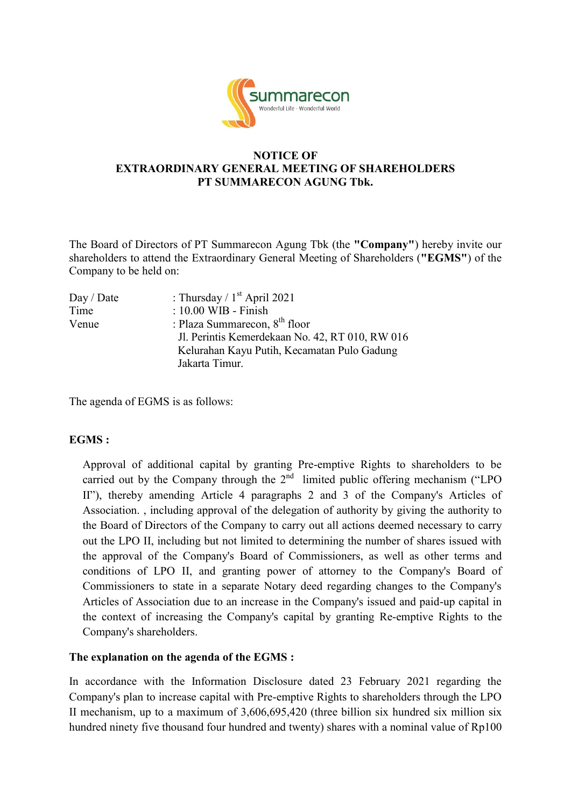

### **NOTICE OF EXTRAORDINARY GENERAL MEETING OF SHAREHOLDERS PT SUMMARECON AGUNG Tbk.**

The Board of Directors of PT Summarecon Agung Tbk (the **"Company"**) hereby invite our shareholders to attend the Extraordinary General Meeting of Shareholders (**"EGMS"**) of the Company to be held on:

| : Thursday / $1st$ April 2021                   |
|-------------------------------------------------|
| $: 10.00$ WIB - Finish                          |
| : Plaza Summarecon, $8th$ floor                 |
| Jl. Perintis Kemerdekaan No. 42, RT 010, RW 016 |
| Kelurahan Kayu Putih, Kecamatan Pulo Gadung     |
| Jakarta Timur.                                  |
|                                                 |

The agenda of EGMS is as follows:

## **EGMS :**

Approval of additional capital by granting Pre-emptive Rights to shareholders to be carried out by the Company through the  $2<sup>nd</sup>$  limited public offering mechanism ("LPO II"), thereby amending Article 4 paragraphs 2 and 3 of the Company's Articles of Association. , including approval of the delegation of authority by giving the authority to the Board of Directors of the Company to carry out all actions deemed necessary to carry out the LPO II, including but not limited to determining the number of shares issued with the approval of the Company's Board of Commissioners, as well as other terms and conditions of LPO II, and granting power of attorney to the Company's Board of Commissioners to state in a separate Notary deed regarding changes to the Company's Articles of Association due to an increase in the Company's issued and paid-up capital in the context of increasing the Company's capital by granting Re-emptive Rights to the Company's shareholders.

#### **The explanation on the agenda of the EGMS :**

In accordance with the Information Disclosure dated 23 February 2021 regarding the Company's plan to increase capital with Pre-emptive Rights to shareholders through the LPO II mechanism, up to a maximum of 3,606,695,420 (three billion six hundred six million six hundred ninety five thousand four hundred and twenty) shares with a nominal value of Rp100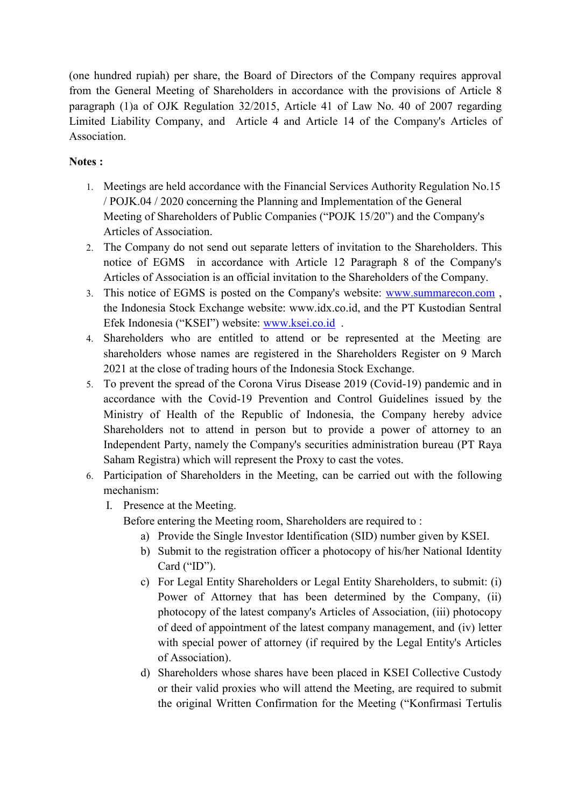(one hundred rupiah) per share, the Board of Directors of the Company requires approval from the General Meeting of Shareholders in accordance with the provisions of Article 8 paragraph (1)a of OJK Regulation 32/2015, Article 41 of Law No. 40 of 2007 regarding Limited Liability Company, and Article 4 and Article 14 of the Company's Articles of Association.

# **Notes :**

- 1. Meetings are held accordance with the Financial Services Authority Regulation No.15 / POJK.04 / 2020 concerning the Planning and Implementation of the General Meeting of Shareholders of Public Companies ("POJK 15/20") and the Company's Articles of Association.
- 2. The Company do not send out separate letters of invitation to the Shareholders. This notice of EGMS in accordance with Article 12 Paragraph 8 of the Company's Articles of Association is an official invitation to the Shareholders of the Company.
- 3. This notice of EGMS is posted on the Company's website: [www.summarecon.com](http://www.summarecon.com/) , the Indonesia Stock Exchange website: www.idx.co.id, and the PT Kustodian Sentral Efek Indonesia ("KSEI") website: [www.ksei.co.id](http://www.ksei.co.id/) .
- 4. Shareholders who are entitled to attend or be represented at the Meeting are shareholders whose names are registered in the Shareholders Register on 9 March 2021 at the close of trading hours of the Indonesia Stock Exchange.
- 5. To prevent the spread of the Corona Virus Disease 2019 (Covid-19) pandemic and in accordance with the Covid-19 Prevention and Control Guidelines issued by the Ministry of Health of the Republic of Indonesia, the Company hereby advice Shareholders not to attend in person but to provide a power of attorney to an Independent Party, namely the Company's securities administration bureau (PT Raya Saham Registra) which will represent the Proxy to cast the votes.
- 6. Participation of Shareholders in the Meeting, can be carried out with the following mechanism:
	- I. Presence at the Meeting.

Before entering the Meeting room, Shareholders are required to :

- a) Provide the Single Investor Identification (SID) number given by KSEI.
- b) Submit to the registration officer a photocopy of his/her National Identity Card ("ID").
- c) For Legal Entity Shareholders or Legal Entity Shareholders, to submit: (i) Power of Attorney that has been determined by the Company, (ii) photocopy of the latest company's Articles of Association, (iii) photocopy of deed of appointment of the latest company management, and (iv) letter with special power of attorney (if required by the Legal Entity's Articles of Association).
- d) Shareholders whose shares have been placed in KSEI Collective Custody or their valid proxies who will attend the Meeting, are required to submit the original Written Confirmation for the Meeting ("Konfirmasi Tertulis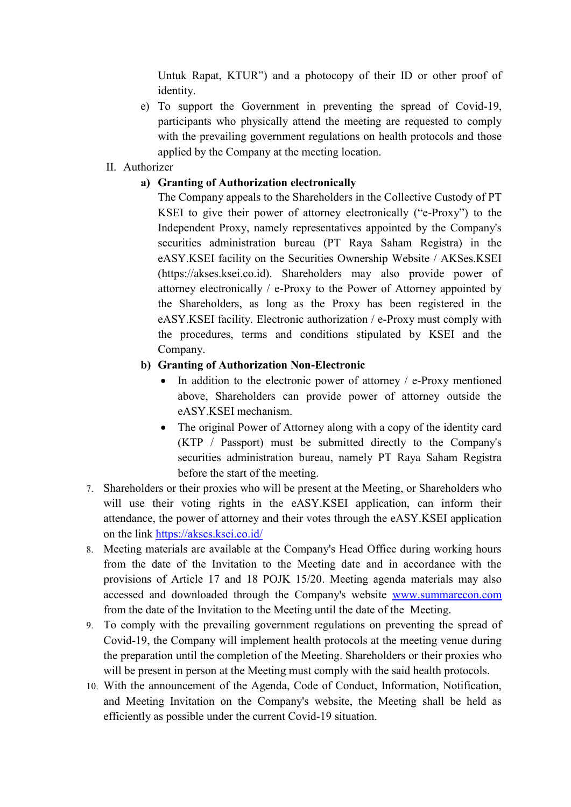Untuk Rapat, KTUR") and a photocopy of their ID or other proof of identity.

e) To support the Government in preventing the spread of Covid-19, participants who physically attend the meeting are requested to comply with the prevailing government regulations on health protocols and those applied by the Company at the meeting location.

# II. Authorizer

## **a) Granting of Authorization electronically**

The Company appeals to the Shareholders in the Collective Custody of PT KSEI to give their power of attorney electronically ("e-Proxy") to the Independent Proxy, namely representatives appointed by the Company's securities administration bureau (PT Raya Saham Registra) in the eASY.KSEI facility on the Securities Ownership Website / AKSes.KSEI (https://akses.ksei.co.id). Shareholders may also provide power of attorney electronically / e-Proxy to the Power of Attorney appointed by the Shareholders, as long as the Proxy has been registered in the eASY.KSEI facility. Electronic authorization / e-Proxy must comply with the procedures, terms and conditions stipulated by KSEI and the Company.

## **b) Granting of Authorization Non-Electronic**

- In addition to the electronic power of attorney  $/$  e-Proxy mentioned above, Shareholders can provide power of attorney outside the eASY.KSEI mechanism.
- The original Power of Attorney along with a copy of the identity card (KTP / Passport) must be submitted directly to the Company's securities administration bureau, namely PT Raya Saham Registra before the start of the meeting.
- 7. Shareholders or their proxies who will be present at the Meeting, or Shareholders who will use their voting rights in the eASY.KSEI application, can inform their attendance, the power of attorney and their votes through the eASY.KSEI application on the link<https://akses.ksei.co.id/>
- 8. Meeting materials are available at the Company's Head Office during working hours from the date of the Invitation to the Meeting date and in accordance with the provisions of Article 17 and 18 POJK 15/20. Meeting agenda materials may also accessed and downloaded through the Company's website [www.summarecon.com](http://www.summarecon.com/) from the date of the Invitation to the Meeting until the date of the Meeting.
- 9. To comply with the prevailing government regulations on preventing the spread of Covid-19, the Company will implement health protocols at the meeting venue during the preparation until the completion of the Meeting. Shareholders or their proxies who will be present in person at the Meeting must comply with the said health protocols.
- 10. With the announcement of the Agenda, Code of Conduct, Information, Notification, and Meeting Invitation on the Company's website, the Meeting shall be held as efficiently as possible under the current Covid-19 situation.